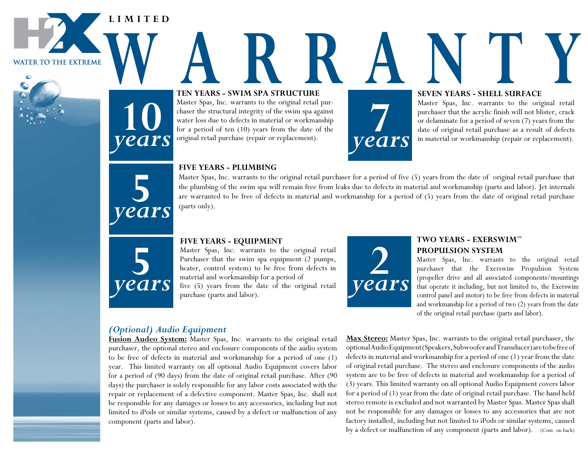**LIMITED**



**WATER TO THE EXTREME** 

# TEN YEARS - SWIM SPA STRUCTURE **AND SEVEN YEARS - SHELL SURFACE TEN YEARS - SWIM SPA STRUCTURE**

Master Spas, Inc. warrants to the original retail purchaser the structural integrity of the swim spa against water loss due to defects in material or workmanship for a period of ten (10) years from the date of the original retail purchase (repair or replacement).



### **SEVEN YEARS - SHELL SURFACE**

Master Spas, Inc. warrants to the original retail purchaser that the acrylic finish will not blister, crack or delaminate for a period of seven (7) years from the date of original retail purchase as a result of defects **7** in material or workmanship (repair or replacement).



*years*

### **FIVE YEARS - PLUMBING**

Master Spas, Inc. warrants to the original retail purchaser for a period of five (5) years from the date of original retail purchase that the plumbing of the swim spa will remain free from leaks due to defects in material and workmanship (parts and labor). Jet internals are warranted to be free of defects in material and workmanship for a period of (5) years from the date of original retail purchase (parts only).



### **FIVE YEARS - EQUIPMENT**

Master Spas, Inc. warrants to the original retail Purchaser that the swim spa equipment (2 pumps, heater, control system) to be free from defects in material and workmanship for a period of five (5) years from the date of the original retail purchase (parts and labor).



# **TWO YEARS - EXERSWIM™ PROPULSION SYSTEM**

Master Spas, Inc. warrants to the original retail purchaser that the Exerswim Propulsion System (propeller drive and all associated components/mountings that operate it including, but not limited to, the Exerswim control panel and motor) to be free from defects in material and workmanship for a period of two (2) years from the date of the original retail purchase (parts and labor).

# *(Optional) Audio Equipment*

**Fusion Audeo System:** Master Spas, Inc. warrants to the original retail purchaser, the optional stereo and enclosure components of the audio system to be free of defects in material and workmanship for a period of one (1) year. This limited warranty on all optional Audio Equipment covers labor for a period of (90 days) from the date of original retail purchase. After (90 days) the purchaser is solely responsible for any labor costs associated with the repair or replacement of a defective component. Master Spas, Inc. shall not be responsible for any damages or losses to any accessories, including but not limited to iPods or similar systems, caused by a defect or malfunction of any component (parts and labor).

**Max Stereo:** Master Spas, Inc. warrants to the original retail purchaser, the optional Audio Equipment (Speakers, Subwoofer and Transducer) are to be free of defects in material and workmanship for a period of one (1) year from the date of original retail purchase. The stereo and enclosure components of the audio system are to be free of defects in material and workmanship for a period of (3) years. This limited warranty on all optional Audio Equipment covers labor for a period of (1) year from the date of original retail purchase. The hand held stereo remote is excluded and not warranted by Master Spas. Master Spas shall not be responsible for any damages or losses to any accessories that are not factory installed, including but not limited to iPods or similar systems, caused by a defect or malfunction of any component (parts and labor). (Cont. on back)